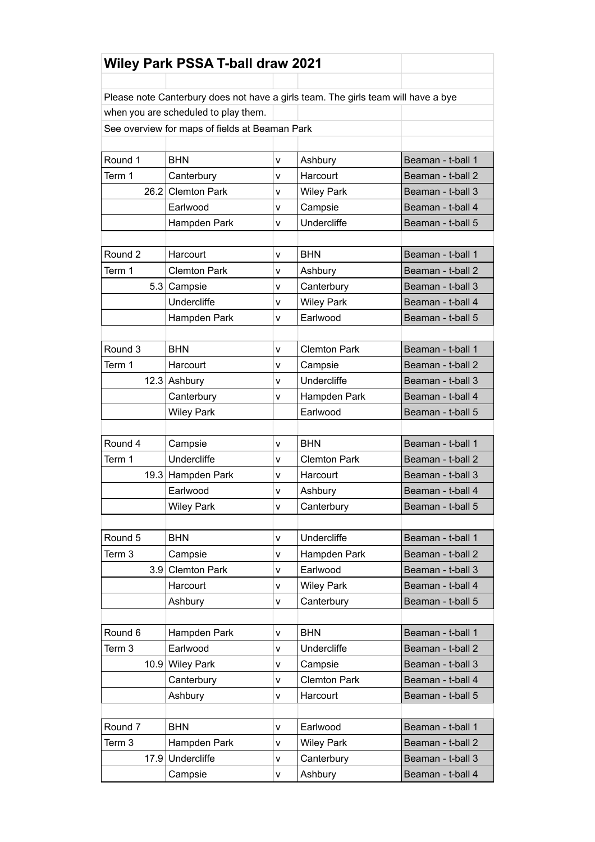| <b>Wiley Park PSSA T-ball draw 2021</b>        |                                                                                   |              |                     |                   |  |
|------------------------------------------------|-----------------------------------------------------------------------------------|--------------|---------------------|-------------------|--|
|                                                |                                                                                   |              |                     |                   |  |
|                                                | Please note Canterbury does not have a girls team. The girls team will have a bye |              |                     |                   |  |
| when you are scheduled to play them.           |                                                                                   |              |                     |                   |  |
| See overview for maps of fields at Beaman Park |                                                                                   |              |                     |                   |  |
|                                                |                                                                                   |              |                     |                   |  |
| Round 1                                        | <b>BHN</b>                                                                        | v            | Ashbury             | Beaman - t-ball 1 |  |
| Term 1                                         | Canterbury                                                                        | $\mathsf{v}$ | Harcourt            | Beaman - t-ball 2 |  |
|                                                | 26.2 Clemton Park                                                                 | v            | <b>Wiley Park</b>   | Beaman - t-ball 3 |  |
|                                                | Earlwood                                                                          | v            | Campsie             | Beaman - t-ball 4 |  |
|                                                | Hampden Park                                                                      | $\mathsf{v}$ | <b>Undercliffe</b>  | Beaman - t-ball 5 |  |
|                                                |                                                                                   |              |                     |                   |  |
| Round <sub>2</sub>                             | Harcourt                                                                          | v            | <b>BHN</b>          | Beaman - t-ball 1 |  |
| Term 1                                         | <b>Clemton Park</b>                                                               | v            | Ashbury             | Beaman - t-ball 2 |  |
|                                                | 5.3 Campsie                                                                       | v            | Canterbury          | Beaman - t-ball 3 |  |
|                                                | Undercliffe                                                                       | v            | <b>Wiley Park</b>   | Beaman - t-ball 4 |  |
|                                                | Hampden Park                                                                      | v            | Earlwood            | Beaman - t-ball 5 |  |
|                                                |                                                                                   |              |                     |                   |  |
| Round 3                                        | <b>BHN</b>                                                                        | v            | <b>Clemton Park</b> | Beaman - t-ball 1 |  |
| Term 1                                         | Harcourt                                                                          | v            | Campsie             | Beaman - t-ball 2 |  |
|                                                | 12.3 Ashbury                                                                      | $\mathsf{v}$ | Undercliffe         | Beaman - t-ball 3 |  |
|                                                | Canterbury                                                                        | v            | Hampden Park        | Beaman - t-ball 4 |  |
|                                                | <b>Wiley Park</b>                                                                 |              | Earlwood            | Beaman - t-ball 5 |  |
|                                                |                                                                                   |              |                     |                   |  |
| Round 4                                        | Campsie                                                                           | v            | <b>BHN</b>          | Beaman - t-ball 1 |  |
| Term 1                                         | <b>Undercliffe</b>                                                                | v            | <b>Clemton Park</b> | Beaman - t-ball 2 |  |
| 19.3                                           | Hampden Park                                                                      | v            | Harcourt            | Beaman - t-ball 3 |  |
|                                                | Earlwood                                                                          | v            | Ashbury             | Beaman - t-ball 4 |  |
|                                                | <b>Wiley Park</b>                                                                 | $\mathsf{v}$ | Canterbury          | Beaman - t-ball 5 |  |
|                                                |                                                                                   |              |                     |                   |  |
| Round 5                                        | <b>BHN</b>                                                                        | v            | Undercliffe         | Beaman - t-ball 1 |  |
| Term 3                                         | Campsie                                                                           | v            | Hampden Park        | Beaman - t-ball 2 |  |
| 3.9                                            | <b>Clemton Park</b>                                                               | v            | Earlwood            | Beaman - t-ball 3 |  |
|                                                | Harcourt                                                                          | V            | <b>Wiley Park</b>   | Beaman - t-ball 4 |  |
|                                                | Ashbury                                                                           | V            | Canterbury          | Beaman - t-ball 5 |  |
|                                                |                                                                                   |              |                     |                   |  |
| Round 6                                        | Hampden Park                                                                      | v            | <b>BHN</b>          | Beaman - t-ball 1 |  |
| Term 3                                         | Earlwood                                                                          | v            | <b>Undercliffe</b>  | Beaman - t-ball 2 |  |
|                                                | 10.9 Wiley Park                                                                   | V            | Campsie             | Beaman - t-ball 3 |  |
|                                                | Canterbury                                                                        | v            | <b>Clemton Park</b> | Beaman - t-ball 4 |  |
|                                                | Ashbury                                                                           | V            | Harcourt            | Beaman - t-ball 5 |  |
|                                                |                                                                                   |              |                     |                   |  |
| Round 7                                        | <b>BHN</b>                                                                        | v            | Earlwood            | Beaman - t-ball 1 |  |
| Term 3                                         | Hampden Park                                                                      | v            | <b>Wiley Park</b>   | Beaman - t-ball 2 |  |
| 17.9                                           | Undercliffe                                                                       | $\mathsf{V}$ | Canterbury          | Beaman - t-ball 3 |  |
|                                                | Campsie                                                                           | v            | Ashbury             | Beaman - t-ball 4 |  |